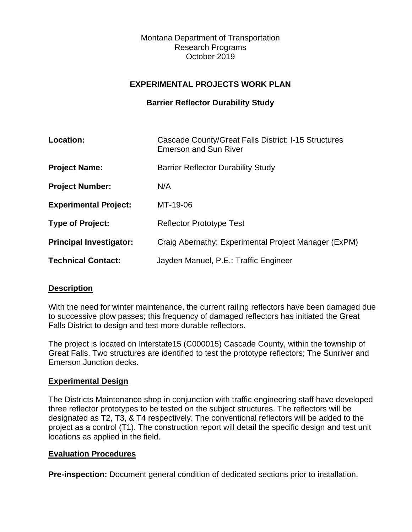Montana Department of Transportation Research Programs October 2019

## **EXPERIMENTAL PROJECTS WORK PLAN**

### **Barrier Reflector Durability Study**

| Location:                      | Cascade County/Great Falls District: I-15 Structures<br><b>Emerson and Sun River</b> |
|--------------------------------|--------------------------------------------------------------------------------------|
| <b>Project Name:</b>           | <b>Barrier Reflector Durability Study</b>                                            |
| <b>Project Number:</b>         | N/A                                                                                  |
| <b>Experimental Project:</b>   | MT-19-06                                                                             |
| <b>Type of Project:</b>        | <b>Reflector Prototype Test</b>                                                      |
| <b>Principal Investigator:</b> | Craig Abernathy: Experimental Project Manager (ExPM)                                 |
| <b>Technical Contact:</b>      | Jayden Manuel, P.E.: Traffic Engineer                                                |

#### **Description**

With the need for winter maintenance, the current railing reflectors have been damaged due to successive plow passes; this frequency of damaged reflectors has initiated the Great Falls District to design and test more durable reflectors.

The project is located on Interstate15 (C000015) Cascade County, within the township of Great Falls. Two structures are identified to test the prototype reflectors; The Sunriver and Emerson Junction decks.

#### **Experimental Design**

The Districts Maintenance shop in conjunction with traffic engineering staff have developed three reflector prototypes to be tested on the subject structures. The reflectors will be designated as T2, T3, & T4 respectively. The conventional reflectors will be added to the project as a control (T1). The construction report will detail the specific design and test unit locations as applied in the field.

#### **Evaluation Procedures**

**Pre-inspection:** Document general condition of dedicated sections prior to installation.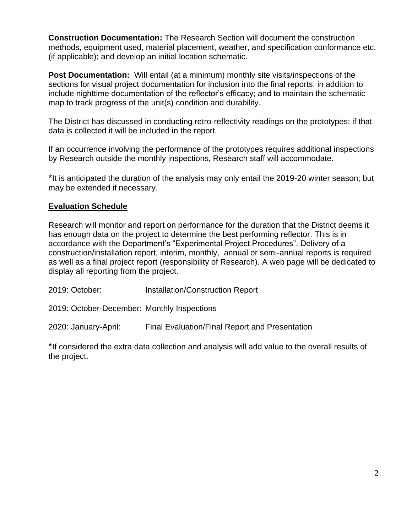**Construction Documentation:** The Research Section will document the construction methods, equipment used, material placement, weather, and specification conformance etc. (if applicable); and develop an initial location schematic.

**Post Documentation:** Will entail (at a minimum) monthly site visits/inspections of the sections for visual project documentation for inclusion into the final reports; in addition to include nighttime documentation of the reflector's efficacy; and to maintain the schematic map to track progress of the unit(s) condition and durability.

The District has discussed in conducting retro-reflectivity readings on the prototypes; if that data is collected it will be included in the report.

If an occurrence involving the performance of the prototypes requires additional inspections by Research outside the monthly inspections, Research staff will accommodate.

\*It is anticipated the duration of the analysis may only entail the 2019-20 winter season; but may be extended if necessary.

# **Evaluation Schedule**

Research will monitor and report on performance for the duration that the District deems it has enough data on the project to determine the best performing reflector. This is in accordance with the Department's "Experimental Project Procedures". Delivery of a construction/installation report, interim, monthly, annual or semi-annual reports is required as well as a final project report (responsibility of Research). A web page will be dedicated to display all reporting from the project.

| 2019: October: | Installation/Construction Report |  |
|----------------|----------------------------------|--|
|----------------|----------------------------------|--|

2019: October-December: Monthly Inspections

2020: January-April: Final Evaluation/Final Report and Presentation

\*If considered the extra data collection and analysis will add value to the overall results of the project.